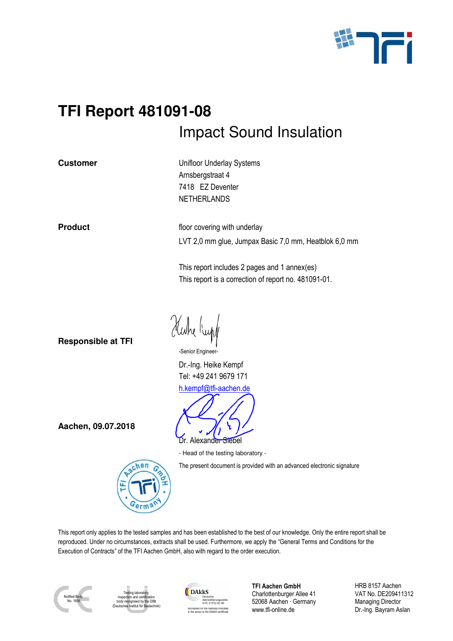

# **TFI Report 481091-08**  Impact Sound Insulation

**Customer Customer Unifloor Underlay Systems** Arnsbergstraat 4 7418 EZ Deventer **NETHERLANDS** 

**Product Figure 2.1 Product floor covering with underlay** LVT 2,0 mm glue, Jumpax Basic 7,0 mm, Heatblok 6,0 mm

> This report includes 2 pages and 1 annex(es) This report is a correction of report no. 481091-01.

**Responsible at TFI** 

"Huhe Kup

-Senior Engineer-

Dr.-Ing. Heike Kempf Tel: +49 241 9679 171 h.kempf@tfi-aachen.de



- Head of the testing laboratory -

The present document is provided with an advanced electronic signature

This report only applies to the tested samples and has been established to the best of our knowledge. Only the entire report shall be reproduced. Under no circumstances, extracts shall be used. Furthermore, we apply the "General Terms and Conditions for the Execution of Contracts" of the TFI Aachen GmbH, also with regard to the order execution.



Testing laboratory, inspection and certification od by the DIB (Deutsches Institut für Bautechnik)

 $chen$ 



**TFI Aachen GmbH** Charlottenburger Allee 41 52068 Aachen · Germany www.tfi-online.de

HRB 8157 Aachen VAT No. DE209411312 Managing Director Dr.-Ing. Bayram Aslan

**Aachen, 09.07.2018**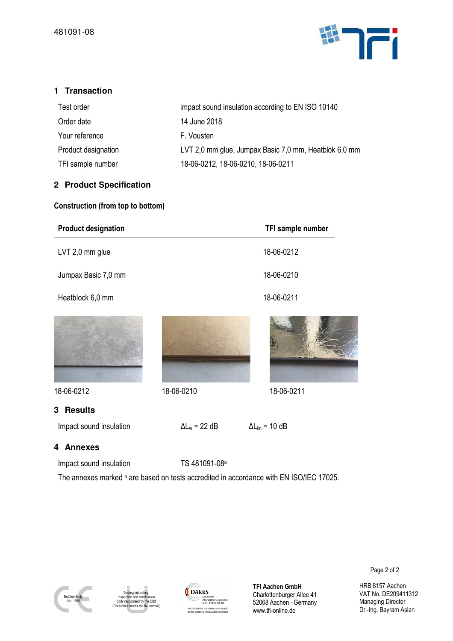

# **1 Transaction**

| Test order          | impact sound insulation according to EN ISO 10140     |
|---------------------|-------------------------------------------------------|
| Order date          | 14 June 2018                                          |
| Your reference      | F. Vousten                                            |
| Product designation | LVT 2,0 mm glue, Jumpax Basic 7,0 mm, Heatblok 6,0 mm |
| TFI sample number   | 18-06-0212, 18-06-0210, 18-06-0211                    |

# **2 Product Specification**

#### **Construction (from top to bottom)**

| <b>Product designation</b> |                      | TFI sample number        |
|----------------------------|----------------------|--------------------------|
| LVT 2,0 mm glue            |                      | 18-06-0212               |
| Jumpax Basic 7,0 mm        |                      | 18-06-0210               |
| Heatblock 6,0 mm           |                      | 18-06-0211               |
|                            |                      |                          |
| 18-06-0212                 | 18-06-0210           | 18-06-0211               |
| <b>Results</b><br>3        |                      |                          |
| Impact sound insulation    | $\Delta L_w = 22$ dB | $\Delta L_{lin} = 10$ dB |
| 4 Anneyes                  |                      |                          |

#### **4 Annexes**

Impact sound insulation TS 481091-08<sup>a</sup>

The annexes marked <sup>a</sup> are based on tests accredited in accordance with EN ISO/IEC 17025.



Testing laborato inspection and certification body recognised by the DIBt (Deutsches Institut für Bautechnik)



**TFI Aachen GmbH** Charlottenburger Allee 41 52068 Aachen · Germany www.tfi-online.de

Page 2 of 2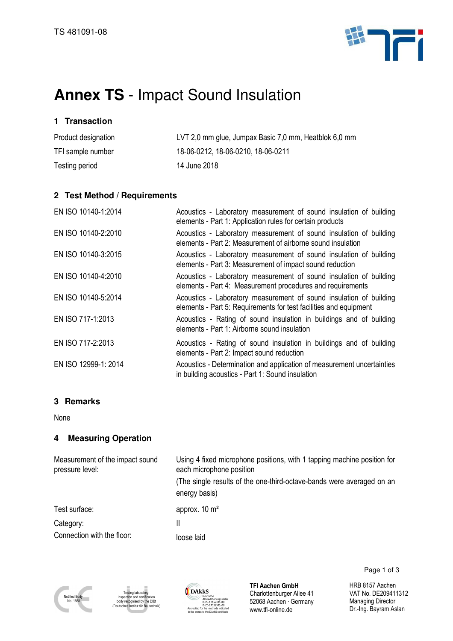

# **Annex TS** - Impact Sound Insulation

# **1 Transaction**

| Product designation | LVT 2,0 mm glue, Jumpax Basic 7,0 mm, Heatblok 6,0 mm |
|---------------------|-------------------------------------------------------|
| TFI sample number   | 18-06-0212, 18-06-0210, 18-06-0211                    |
| Testing period      | 14 June 2018                                          |

#### **2 Test Method / Requirements**

| EN ISO 10140-1:2014  | Acoustics - Laboratory measurement of sound insulation of building<br>elements - Part 1: Application rules for certain products         |
|----------------------|-----------------------------------------------------------------------------------------------------------------------------------------|
| EN ISO 10140-2:2010  | Acoustics - Laboratory measurement of sound insulation of building<br>elements - Part 2: Measurement of airborne sound insulation       |
| EN ISO 10140-3:2015  | Acoustics - Laboratory measurement of sound insulation of building<br>elements - Part 3: Measurement of impact sound reduction          |
| EN ISO 10140-4:2010  | Acoustics - Laboratory measurement of sound insulation of building<br>elements - Part 4: Measurement procedures and requirements        |
| EN ISO 10140-5:2014  | Acoustics - Laboratory measurement of sound insulation of building<br>elements - Part 5: Requirements for test facilities and equipment |
| EN ISO 717-1:2013    | Acoustics - Rating of sound insulation in buildings and of building<br>elements - Part 1: Airborne sound insulation                     |
| EN ISO 717-2:2013    | Acoustics - Rating of sound insulation in buildings and of building<br>elements - Part 2: Impact sound reduction                        |
| EN ISO 12999-1: 2014 | Acoustics - Determination and application of measurement uncertainties<br>in building acoustics - Part 1: Sound insulation              |

# **3 Remarks**

None

# **4 Measuring Operation**

| Measurement of the impact sound<br>pressure level: | Using 4 fixed microphone positions, with 1 tapping machine position for<br>each microphone position<br>(The single results of the one-third-octave-bands were averaged on an<br>energy basis) |
|----------------------------------------------------|-----------------------------------------------------------------------------------------------------------------------------------------------------------------------------------------------|
| Test surface:                                      | approx. $10 \text{ m}^2$                                                                                                                                                                      |
| Category:                                          | II                                                                                                                                                                                            |
| Connection with the floor:                         | loose laid                                                                                                                                                                                    |





**TFI Aachen GmbH** Charlottenburger Allee 41 52068 Aachen · Germany www.tfi-online.de

Page 1 of 3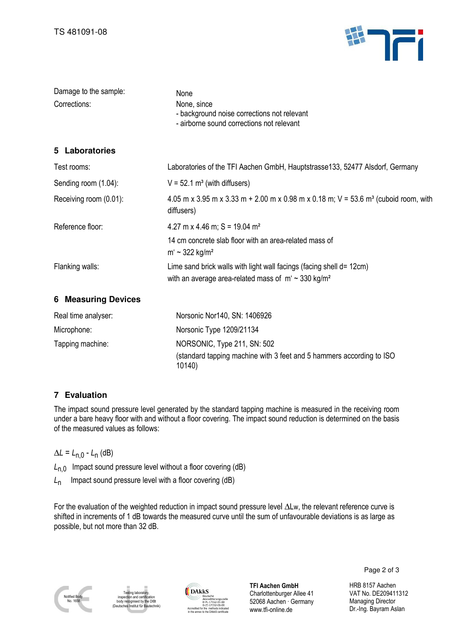

| Damage to the sample:<br>Corrections: | None<br>None, since<br>- background noise corrections not relevant<br>- airborne sound corrections not relevant                              |
|---------------------------------------|----------------------------------------------------------------------------------------------------------------------------------------------|
| 5 Laboratories                        |                                                                                                                                              |
| Test rooms:                           | Laboratories of the TFI Aachen GmbH, Hauptstrasse133, 52477 Alsdorf, Germany                                                                 |
| Sending room (1.04):                  | $V = 52.1$ m <sup>3</sup> (with diffusers)                                                                                                   |
| Receiving room (0.01):                | 4.05 m x 3.95 m x 3.33 m + 2.00 m x 0.98 m x 0.18 m; V = 53.6 m <sup>3</sup> (cuboid room, with<br>diffusers)                                |
| Reference floor:                      | 4.27 m x 4.46 m; S = 19.04 m <sup>2</sup>                                                                                                    |
|                                       | 14 cm concrete slab floor with an area-related mass of<br>$m' \sim 322$ kg/m <sup>2</sup>                                                    |
| Flanking walls:                       | Lime sand brick walls with light wall facings (facing shell d= 12cm)<br>with an average area-related mass of $m' \sim 330$ kg/m <sup>2</sup> |
| <b>6 Measuring Devices</b>            |                                                                                                                                              |
| Real time analyser:                   | Norsonic Nor140, SN: 1406926                                                                                                                 |
| Microphone:                           | Norsonic Type 1209/21134                                                                                                                     |
| Tapping machine:                      | NORSONIC, Type 211, SN: 502                                                                                                                  |
|                                       | (standard tapping machine with 3 feet and 5 hammers according to ISO<br>10140)                                                               |

# **7 Evaluation**

The impact sound pressure level generated by the standard tapping machine is measured in the receiving room under a bare heavy floor with and without a floor covering. The impact sound reduction is determined on the basis of the measured values as follows:

∆*L* = *L*n,0 - *L*<sup>n</sup> (dB)

*L*<sub>n,0</sub> Impact sound pressure level without a floor covering (dB)

*L*n Impact sound pressure level with a floor covering (dB)

For the evaluation of the weighted reduction in impact sound pressure level ∆Lw, the relevant reference curve is shifted in increments of 1 dB towards the measured curve until the sum of unfavourable deviations is as large as possible, but not more than 32 dB.



Testing laboratory, and ce<sup>-</sup> ognised by the DIBt (Deutsches Institut für Bautechnik)



**TFI Aachen GmbH** Charlottenburger Allee 41 52068 Aachen · Germany www.tfi-online.de

Page 2 of 3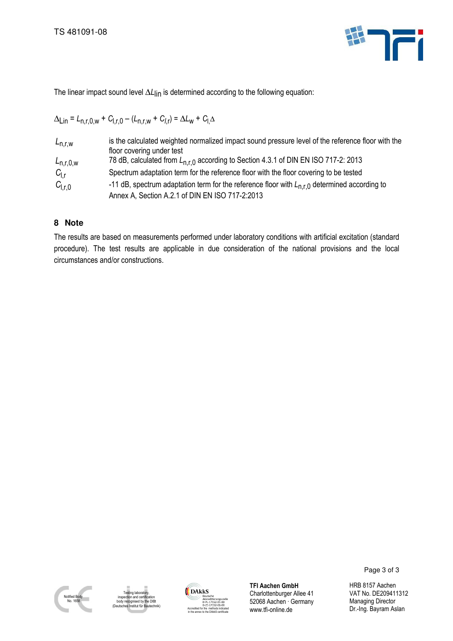

The linear impact sound level ΔL<sub>lin</sub> is determined according to the following equation:

$$
\Delta_{\text{Lin}} = L_{n,r,0,w} + C_{1,r,0} - (L_{n,r,w} + C_{1,r}) = \Delta L_w + C_{1,\Delta}
$$

| $L_{n,r,w}$     | is the calculated weighted normalized impact sound pressure level of the reference floor with the<br>floor covering under test |
|-----------------|--------------------------------------------------------------------------------------------------------------------------------|
| $L_{n,r,0,w}$   | 78 dB, calculated from L <sub>n.r.0</sub> according to Section 4.3.1 of DIN EN ISO 717-2: 2013                                 |
| $C_{1,r}$       | Spectrum adaptation term for the reference floor with the floor covering to be tested                                          |
| $C_{\vert r,0}$ | -11 dB, spectrum adaptation term for the reference floor with $L_{n,r,0}$ determined according to                              |
|                 | Annex A, Section A.2.1 of DIN EN ISO 717-2:2013                                                                                |

# **8 Note**

The results are based on measurements performed under laboratory conditions with artificial excitation (standard procedure). The test results are applicable in due consideration of the national provisions and the local circumstances and/or constructions.



ing labora inspection and certification body recognised by the DIBt ..........<br>stitut für B



**TFI Aachen GmbH** Charlottenburger Allee 41 52068 Aachen · Germany www.tfi-online.de

Page 3 of 3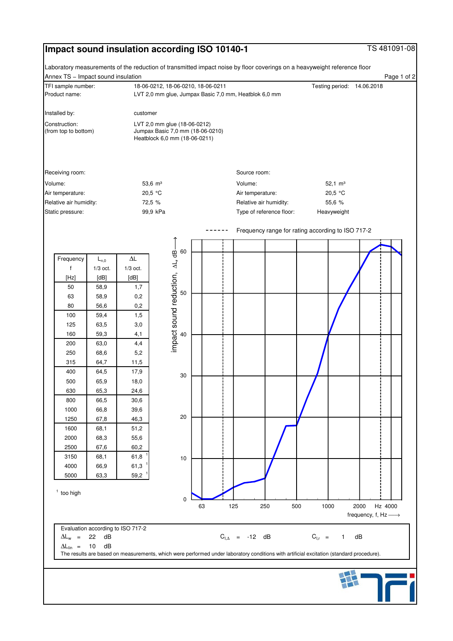# **Impact sound insulation according ISO 10140-1 TS 481091-08**

Page 1 of 2

Annex TS − Impact sound insulation Product name: LVT 2,0 mm glue, Jumpax Basic 7,0 mm, Heatblok 6,0 mm Laboratory measurements of the reduction of transmitted impact noise by floor coverings on a heavyweight reference floor TFI sample number: 18-06-0212, 18-06-0210, 18-06-0211 Testing period: 14.06.2018



 $\Delta L_{lin}$  = 10 dB The results are based on measurements, which were performed under laboratory conditions with artificial excitation (standard procedure). 10

 $\Delta L_w$  = 22 dB  $C_{I,\Delta}$  = -12 dB  $C_{I,r}$  = 1 dB



 $C_{1,r} = 1$